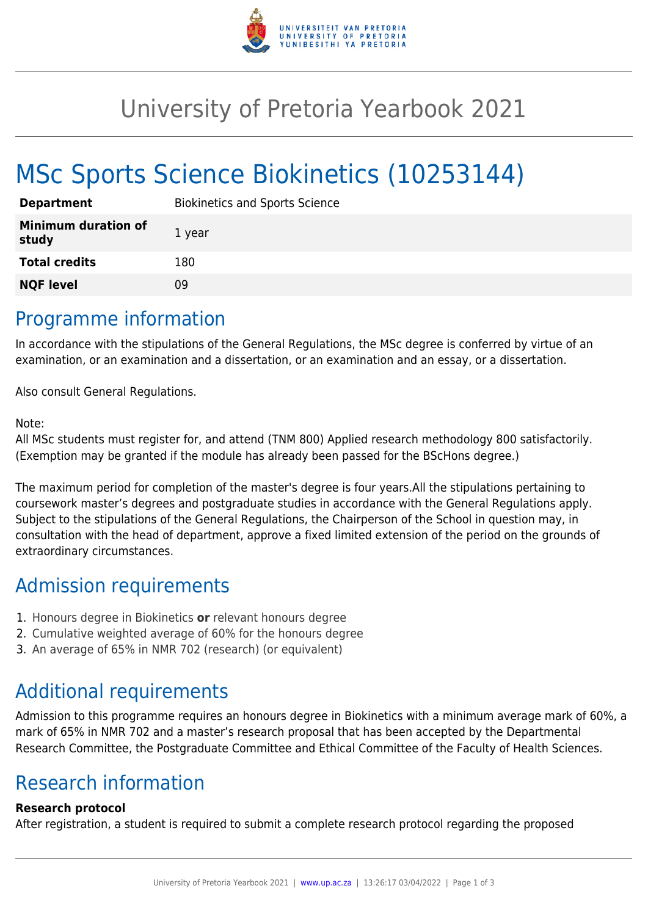

## University of Pretoria Yearbook 2021

# MSc Sports Science Biokinetics (10253144)

| <b>Department</b>                   | <b>Biokinetics and Sports Science</b> |
|-------------------------------------|---------------------------------------|
| <b>Minimum duration of</b><br>study | 1 year                                |
| <b>Total credits</b>                | 180                                   |
| <b>NQF level</b>                    | Ωd                                    |

#### Programme information

In accordance with the stipulations of the General Regulations, the MSc degree is conferred by virtue of an examination, or an examination and a dissertation, or an examination and an essay, or a dissertation.

Also consult General Regulations.

#### Note:

All MSc students must register for, and attend (TNM 800) Applied research methodology 800 satisfactorily. (Exemption may be granted if the module has already been passed for the BScHons degree.)

The maximum period for completion of the master's degree is four years.All the stipulations pertaining to coursework master's degrees and postgraduate studies in accordance with the General Regulations apply. Subject to the stipulations of the General Regulations, the Chairperson of the School in question may, in consultation with the head of department, approve a fixed limited extension of the period on the grounds of extraordinary circumstances.

#### Admission requirements

- 1. Honours degree in Biokinetics **or** relevant honours degree
- 2. Cumulative weighted average of 60% for the honours degree
- 3. An average of 65% in NMR 702 (research) (or equivalent)

## Additional requirements

Admission to this programme requires an honours degree in Biokinetics with a minimum average mark of 60%, a mark of 65% in NMR 702 and a master's research proposal that has been accepted by the Departmental Research Committee, the Postgraduate Committee and Ethical Committee of the Faculty of Health Sciences.

## Research information

#### **Research protocol**

After registration, a student is required to submit a complete research protocol regarding the proposed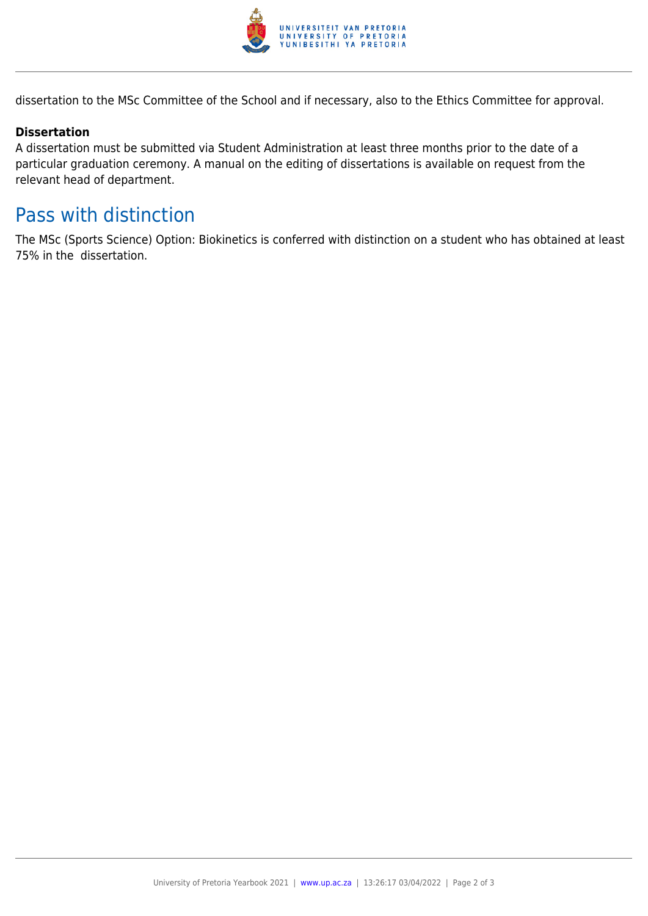

dissertation to the MSc Committee of the School and if necessary, also to the Ethics Committee for approval.

#### **Dissertation**

A dissertation must be submitted via Student Administration at least three months prior to the date of a particular graduation ceremony. A manual on the editing of dissertations is available on request from the relevant head of department.

### Pass with distinction

The MSc (Sports Science) Option: Biokinetics is conferred with distinction on a student who has obtained at least 75% in the dissertation.